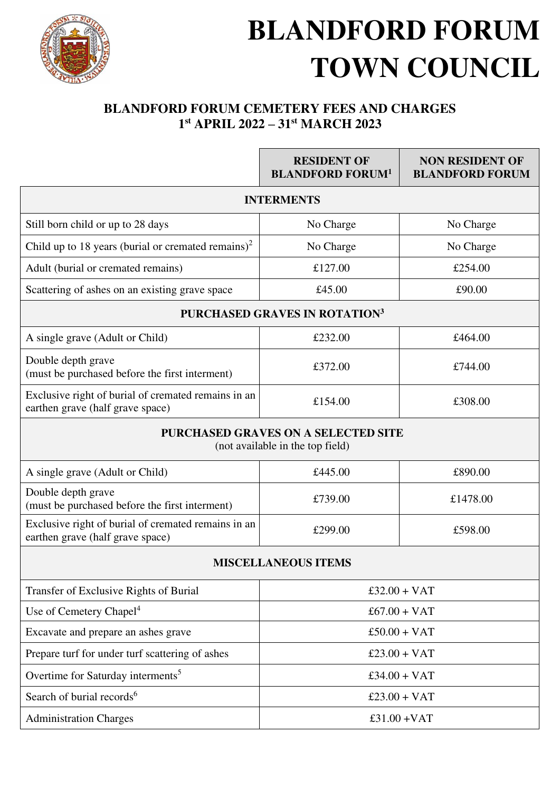

## **BLANDFORD FORUM TOWN COUNCIL**

## **BLANDFORD FORUM CEMETERY FEES AND CHARGES 1 st APRIL 2022 – 31st MARCH 2023**

|                                                                                         | <b>RESIDENT OF</b><br><b>BLANDFORD FORUM<sup>1</sup></b> | <b>NON RESIDENT OF</b><br><b>BLANDFORD FORUM</b> |  |
|-----------------------------------------------------------------------------------------|----------------------------------------------------------|--------------------------------------------------|--|
| <b>INTERMENTS</b>                                                                       |                                                          |                                                  |  |
| Still born child or up to 28 days                                                       | No Charge                                                | No Charge                                        |  |
| Child up to 18 years (burial or cremated remains) <sup>2</sup>                          | No Charge                                                | No Charge                                        |  |
| Adult (burial or cremated remains)                                                      | £127.00                                                  | £254.00                                          |  |
| Scattering of ashes on an existing grave space                                          | £45.00                                                   | £90.00                                           |  |
| <b>PURCHASED GRAVES IN ROTATION3</b>                                                    |                                                          |                                                  |  |
| A single grave (Adult or Child)                                                         | £232.00                                                  | £464.00                                          |  |
| Double depth grave<br>(must be purchased before the first interment)                    | £372.00                                                  | £744.00                                          |  |
| Exclusive right of burial of cremated remains in an<br>earthen grave (half grave space) | £154.00                                                  | £308.00                                          |  |
| <b>PURCHASED GRAVES ON A SELECTED SITE</b><br>(not available in the top field)          |                                                          |                                                  |  |
| A single grave (Adult or Child)                                                         | £445.00                                                  | £890.00                                          |  |
| Double depth grave<br>(must be purchased before the first interment)                    | £739.00                                                  | £1478.00                                         |  |
| Exclusive right of burial of cremated remains in an<br>earthen grave (half grave space) | £299.00                                                  | £598.00                                          |  |
| <b>MISCELLANEOUS ITEMS</b>                                                              |                                                          |                                                  |  |
| Transfer of Exclusive Rights of Burial                                                  | $£32.00 + VAT$                                           |                                                  |  |
| Use of Cemetery Chapel <sup>4</sup>                                                     | $£67.00 + VAT$                                           |                                                  |  |
| Excavate and prepare an ashes grave                                                     | $£50.00 + VAT$                                           |                                                  |  |
| Prepare turf for under turf scattering of ashes                                         | $£23.00 + VAT$                                           |                                                  |  |
| Overtime for Saturday interments <sup>5</sup>                                           | $£34.00 + VAT$                                           |                                                  |  |
| Search of burial records <sup>6</sup>                                                   | $£23.00 + VAT$                                           |                                                  |  |
| <b>Administration Charges</b>                                                           | £31.00 + $VAT$                                           |                                                  |  |